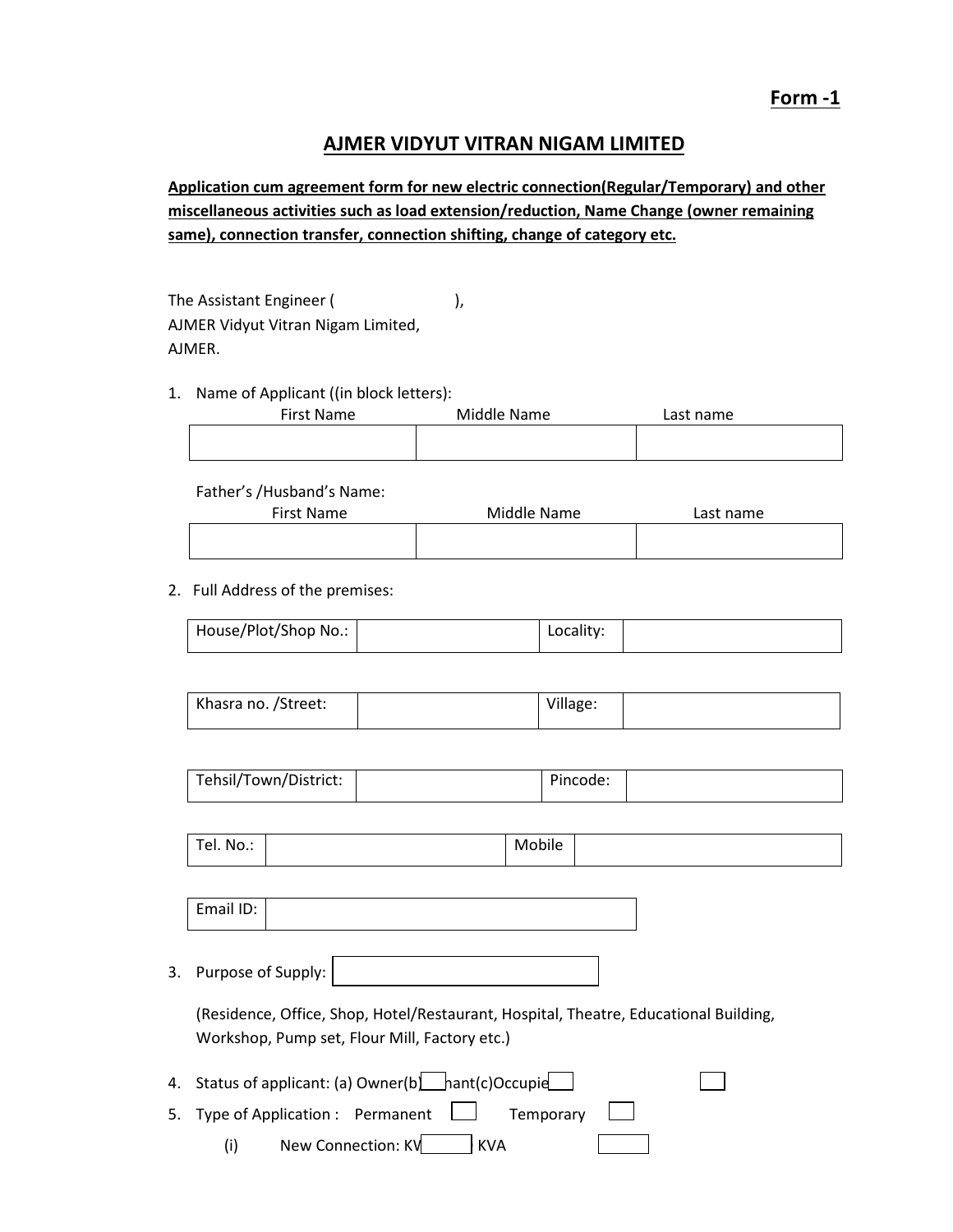# **AJMER VIDYUT VITRAN NIGAM LIMITED**

**Application cum agreement form for new electric connection(Regular/Temporary) and other miscellaneous activities such as load extension/reduction, Name Change (owner remaining same), connection transfer, connection shifting, change of category etc.** 

The Assistant Engineer (
), AJMER Vidyut Vitran Nigam Limited, AJMER.

1. Name of Applicant ((in block letters):

| First Name | Middle Name | Last name |
|------------|-------------|-----------|
|            |             |           |

Father's /Husband's Name:

| First Name | Middle Name | Last name |
|------------|-------------|-----------|
|            |             |           |

2. Full Address of the premises:

| House/Plot/Shop No.: |  | Locality: |  |
|----------------------|--|-----------|--|
|----------------------|--|-----------|--|

| Khasra no. /Street: | Village: |  |
|---------------------|----------|--|
|                     |          |  |

| Tehsil/Town/District: |  | Pincode: |  |
|-----------------------|--|----------|--|
|-----------------------|--|----------|--|

| $\overline{\phantom{0}}$<br>el. No.: |  | $\cdot$ .<br>-<br>Mobile |  |
|--------------------------------------|--|--------------------------|--|
|--------------------------------------|--|--------------------------|--|

Email ID:

3. Purpose of Supply:

(Residence, Office, Shop, Hotel/Restaurant, Hospital, Theatre, Educational Building, Workshop, Pump set, Flour Mill, Factory etc.)

- 4. Status of applicant: (a) Owner(b)  $\Box$  hant(c)Occupie
- 5. Type of Application : Permanent  $\Box$  Temporary

(i) New Connection: KV KVA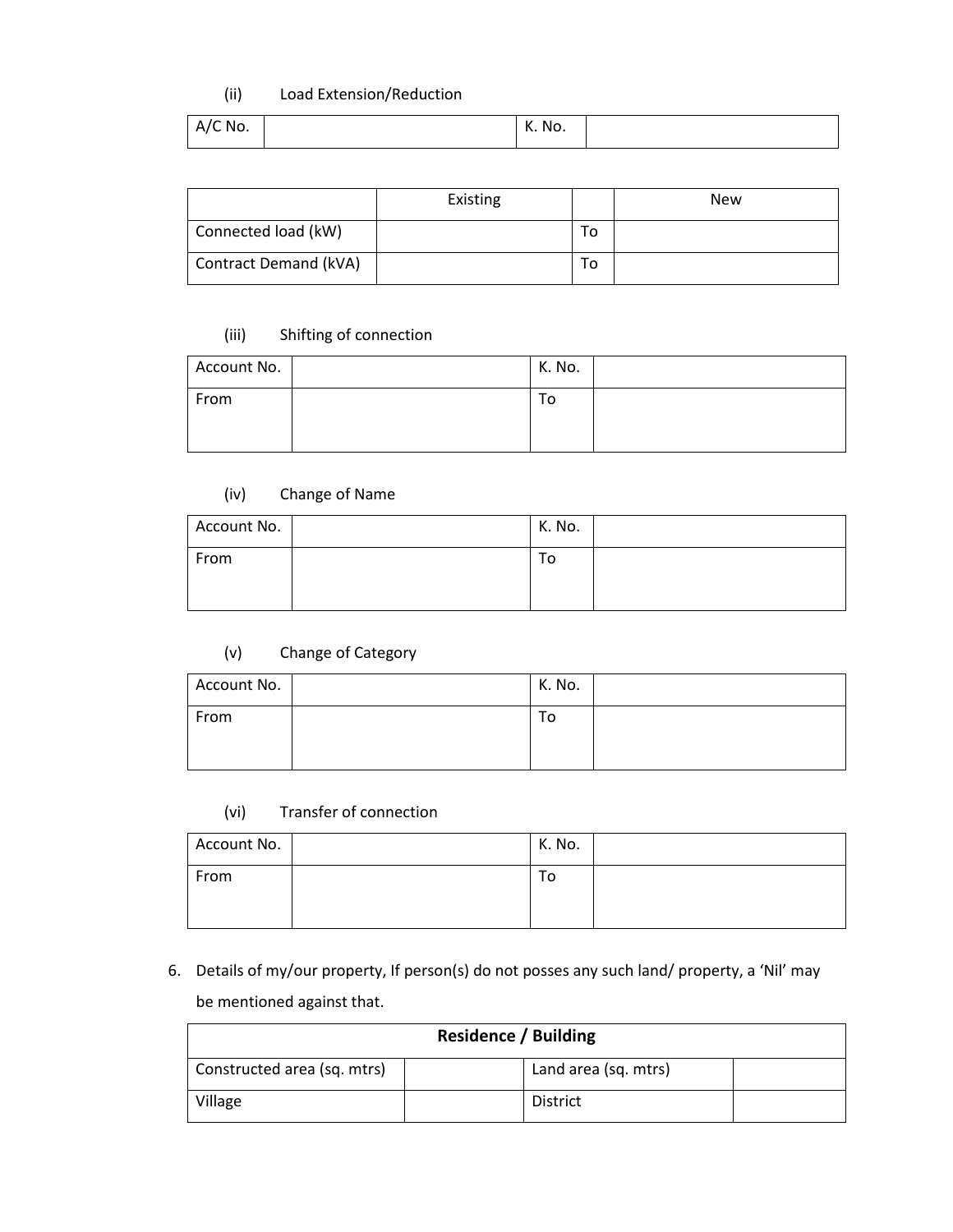### (ii) Load Extension/Reduction

| A/C No. |  | K. No. |  |
|---------|--|--------|--|
|---------|--|--------|--|

|                       | Existing |    | <b>New</b> |
|-----------------------|----------|----|------------|
| Connected load (kW)   |          | То |            |
| Contract Demand (kVA) |          | То |            |

# (iii) Shifting of connection

| Account No. | K. No. |  |
|-------------|--------|--|
| From        | То     |  |
|             |        |  |

### (iv) Change of Name

| Account No. | K. No. |  |
|-------------|--------|--|
| From        | То     |  |

# (v) Change of Category

| Account No. | K. No. |  |
|-------------|--------|--|
| From        | То     |  |

## (vi) Transfer of connection

| Account No. | K. No. |  |
|-------------|--------|--|
| From        | 10     |  |
|             |        |  |

6. Details of my/our property, If person(s) do not posses any such land/ property, a 'Nil' may be mentioned against that.

| <b>Residence / Building</b> |  |                      |  |
|-----------------------------|--|----------------------|--|
| Constructed area (sq. mtrs) |  | Land area (sq. mtrs) |  |
| Village                     |  | <b>District</b>      |  |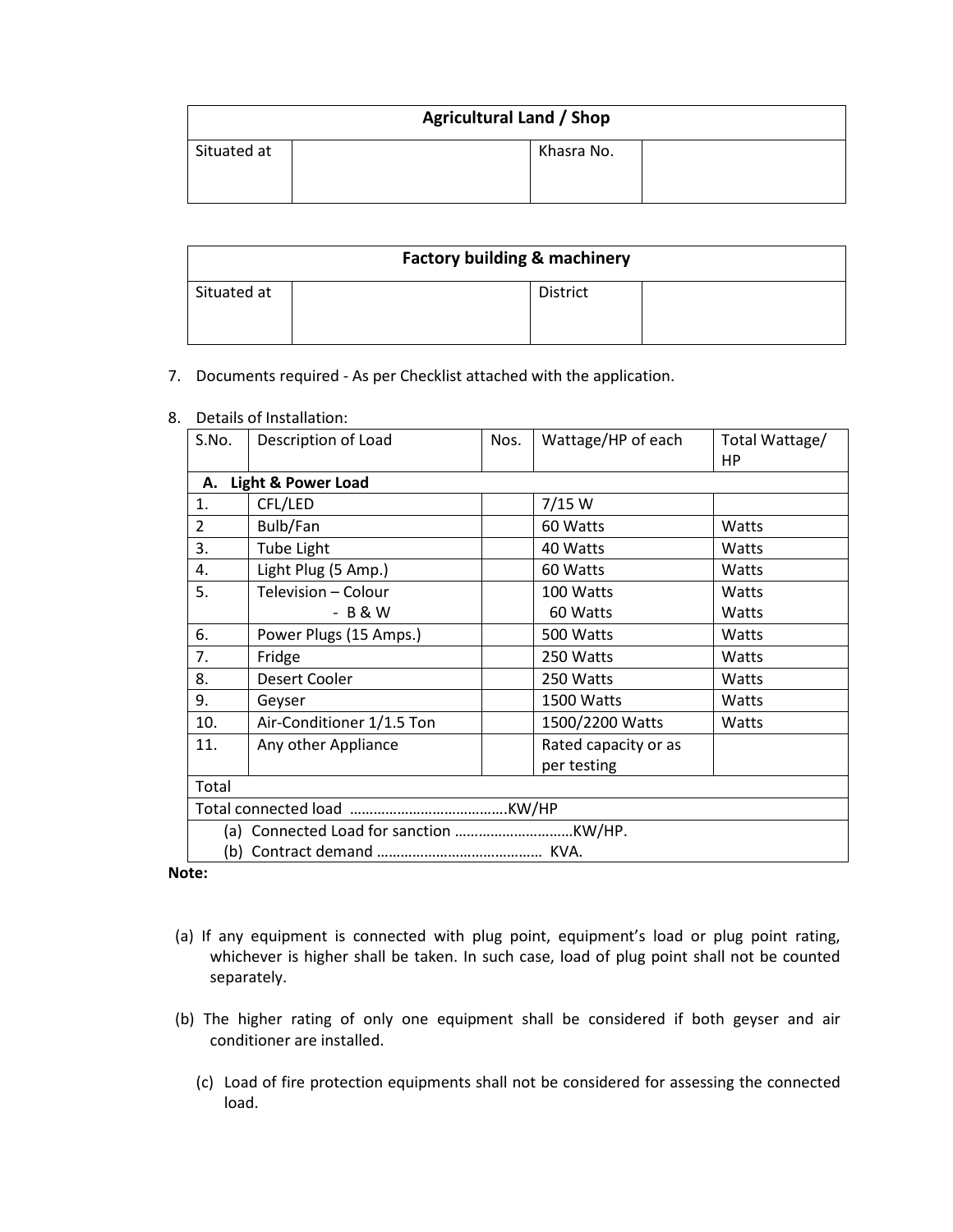| <b>Agricultural Land / Shop</b> |  |            |  |
|---------------------------------|--|------------|--|
| Situated at                     |  | Khasra No. |  |
|                                 |  |            |  |

| <b>Factory building &amp; machinery</b> |                 |  |  |
|-----------------------------------------|-----------------|--|--|
| Situated at                             | <b>District</b> |  |  |
|                                         |                 |  |  |

#### 7. Documents required - As per Checklist attached with the application.

| S.No.          | Description of Load           | Nos. | Wattage/HP of each   | Total Wattage/<br>НP |  |  |
|----------------|-------------------------------|------|----------------------|----------------------|--|--|
| А.             | <b>Light &amp; Power Load</b> |      |                      |                      |  |  |
| 1.             | CFL/LED                       |      | 7/15 W               |                      |  |  |
| $\overline{2}$ | Bulb/Fan                      |      | 60 Watts             | Watts                |  |  |
| 3.             | <b>Tube Light</b>             |      | 40 Watts             | Watts                |  |  |
| 4.             | Light Plug (5 Amp.)           |      | 60 Watts             | Watts                |  |  |
| 5.             | Television - Colour           |      | 100 Watts            | Watts                |  |  |
|                | - B & W                       |      | 60 Watts             | Watts                |  |  |
| 6.             | Power Plugs (15 Amps.)        |      | 500 Watts            | Watts                |  |  |
| 7.             | Fridge                        |      | 250 Watts            | Watts                |  |  |
| 8.             | Desert Cooler                 |      | 250 Watts            | Watts                |  |  |
| 9.             | Geyser                        |      | 1500 Watts           | Watts                |  |  |
| 10.            | Air-Conditioner 1/1.5 Ton     |      | 1500/2200 Watts      | Watts                |  |  |
| 11.            | Any other Appliance           |      | Rated capacity or as |                      |  |  |
|                |                               |      | per testing          |                      |  |  |
| Total          |                               |      |                      |                      |  |  |
|                |                               |      |                      |                      |  |  |
|                |                               |      |                      |                      |  |  |
|                |                               |      |                      |                      |  |  |

8. Details of Installation:

**Note:** 

- (a) If any equipment is connected with plug point, equipment's load or plug point rating, whichever is higher shall be taken. In such case, load of plug point shall not be counted separately.
- (b) The higher rating of only one equipment shall be considered if both geyser and air conditioner are installed.
	- (c) Load of fire protection equipments shall not be considered for assessing the connected load.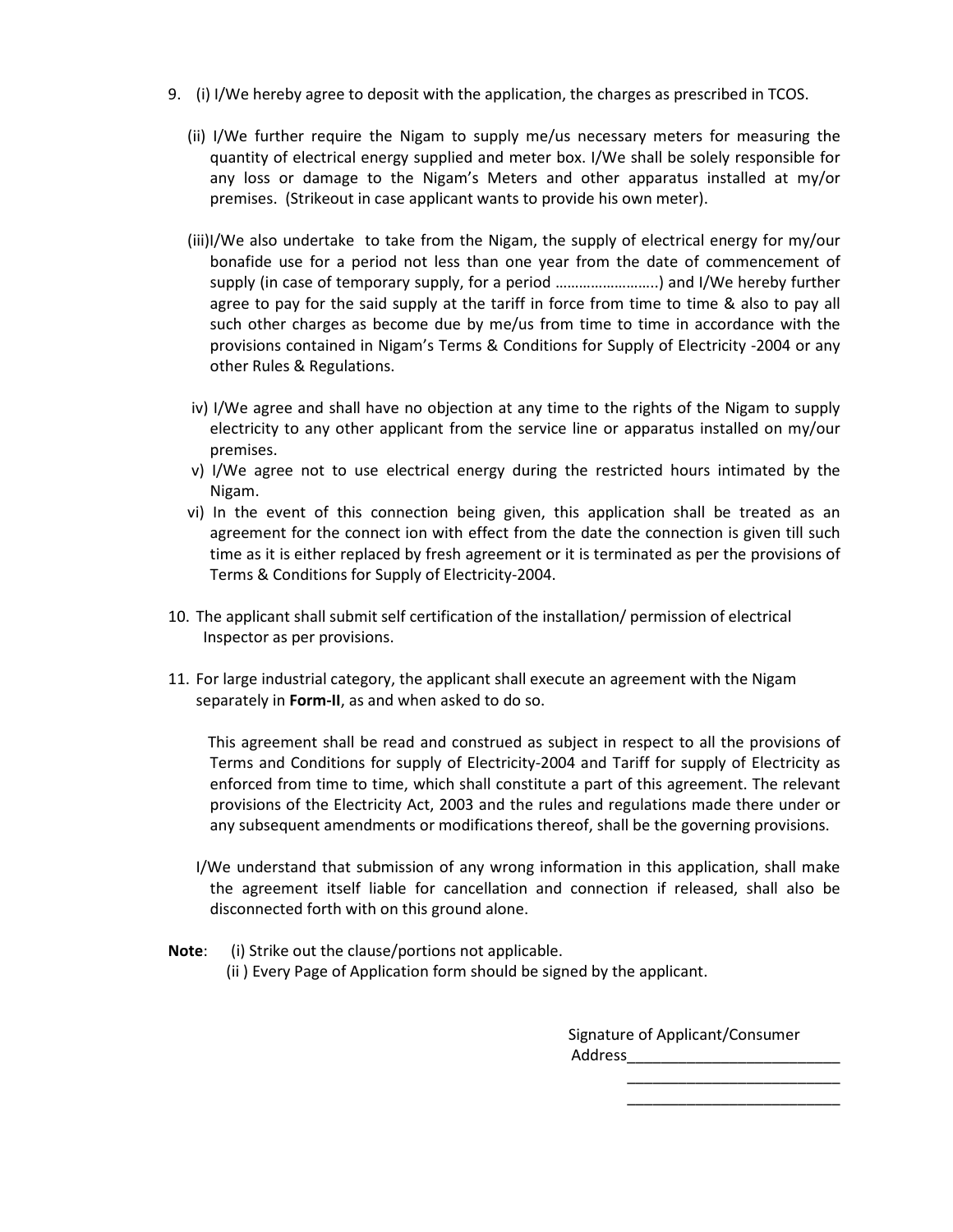- 9. (i) I/We hereby agree to deposit with the application, the charges as prescribed in TCOS.
	- (ii) I/We further require the Nigam to supply me/us necessary meters for measuring the quantity of electrical energy supplied and meter box. I/We shall be solely responsible for any loss or damage to the Nigam's Meters and other apparatus installed at my/or premises. (Strikeout in case applicant wants to provide his own meter).
	- (iii)I/We also undertake to take from the Nigam, the supply of electrical energy for my/our bonafide use for a period not less than one year from the date of commencement of supply (in case of temporary supply, for a period ……………………..) and I/We hereby further agree to pay for the said supply at the tariff in force from time to time & also to pay all such other charges as become due by me/us from time to time in accordance with the provisions contained in Nigam's Terms & Conditions for Supply of Electricity -2004 or any other Rules & Regulations.
	- iv) I/We agree and shall have no objection at any time to the rights of the Nigam to supply electricity to any other applicant from the service line or apparatus installed on my/our premises.
	- v) I/We agree not to use electrical energy during the restricted hours intimated by the Nigam.
	- vi) In the event of this connection being given, this application shall be treated as an agreement for the connect ion with effect from the date the connection is given till such time as it is either replaced by fresh agreement or it is terminated as per the provisions of Terms & Conditions for Supply of Electricity-2004.
- 10. The applicant shall submit self certification of the installation/ permission of electrical Inspector as per provisions.
- 11. For large industrial category, the applicant shall execute an agreement with the Nigam separately in **Form-II**, as and when asked to do so.

 This agreement shall be read and construed as subject in respect to all the provisions of Terms and Conditions for supply of Electricity-2004 and Tariff for supply of Electricity as enforced from time to time, which shall constitute a part of this agreement. The relevant provisions of the Electricity Act, 2003 and the rules and regulations made there under or any subsequent amendments or modifications thereof, shall be the governing provisions.

- I/We understand that submission of any wrong information in this application, shall make the agreement itself liable for cancellation and connection if released, shall also be disconnected forth with on this ground alone.
- **Note**: (i) Strike out the clause/portions not applicable. (ii ) Every Page of Application form should be signed by the applicant.

 Signature of Applicant/Consumer Address\_\_\_\_\_\_\_\_\_\_\_\_\_\_\_\_\_\_\_\_\_\_\_\_\_

 $\overline{\phantom{a}}$  ,  $\overline{\phantom{a}}$  ,  $\overline{\phantom{a}}$  ,  $\overline{\phantom{a}}$  ,  $\overline{\phantom{a}}$  ,  $\overline{\phantom{a}}$  ,  $\overline{\phantom{a}}$  ,  $\overline{\phantom{a}}$  ,  $\overline{\phantom{a}}$  ,  $\overline{\phantom{a}}$  ,  $\overline{\phantom{a}}$  ,  $\overline{\phantom{a}}$  ,  $\overline{\phantom{a}}$  ,  $\overline{\phantom{a}}$  ,  $\overline{\phantom{a}}$  ,  $\overline{\phantom{a}}$  $\frac{1}{\sqrt{2}}$  ,  $\frac{1}{\sqrt{2}}$  ,  $\frac{1}{\sqrt{2}}$  ,  $\frac{1}{\sqrt{2}}$  ,  $\frac{1}{\sqrt{2}}$  ,  $\frac{1}{\sqrt{2}}$  ,  $\frac{1}{\sqrt{2}}$  ,  $\frac{1}{\sqrt{2}}$  ,  $\frac{1}{\sqrt{2}}$  ,  $\frac{1}{\sqrt{2}}$  ,  $\frac{1}{\sqrt{2}}$  ,  $\frac{1}{\sqrt{2}}$  ,  $\frac{1}{\sqrt{2}}$  ,  $\frac{1}{\sqrt{2}}$  ,  $\frac{1}{\sqrt{2}}$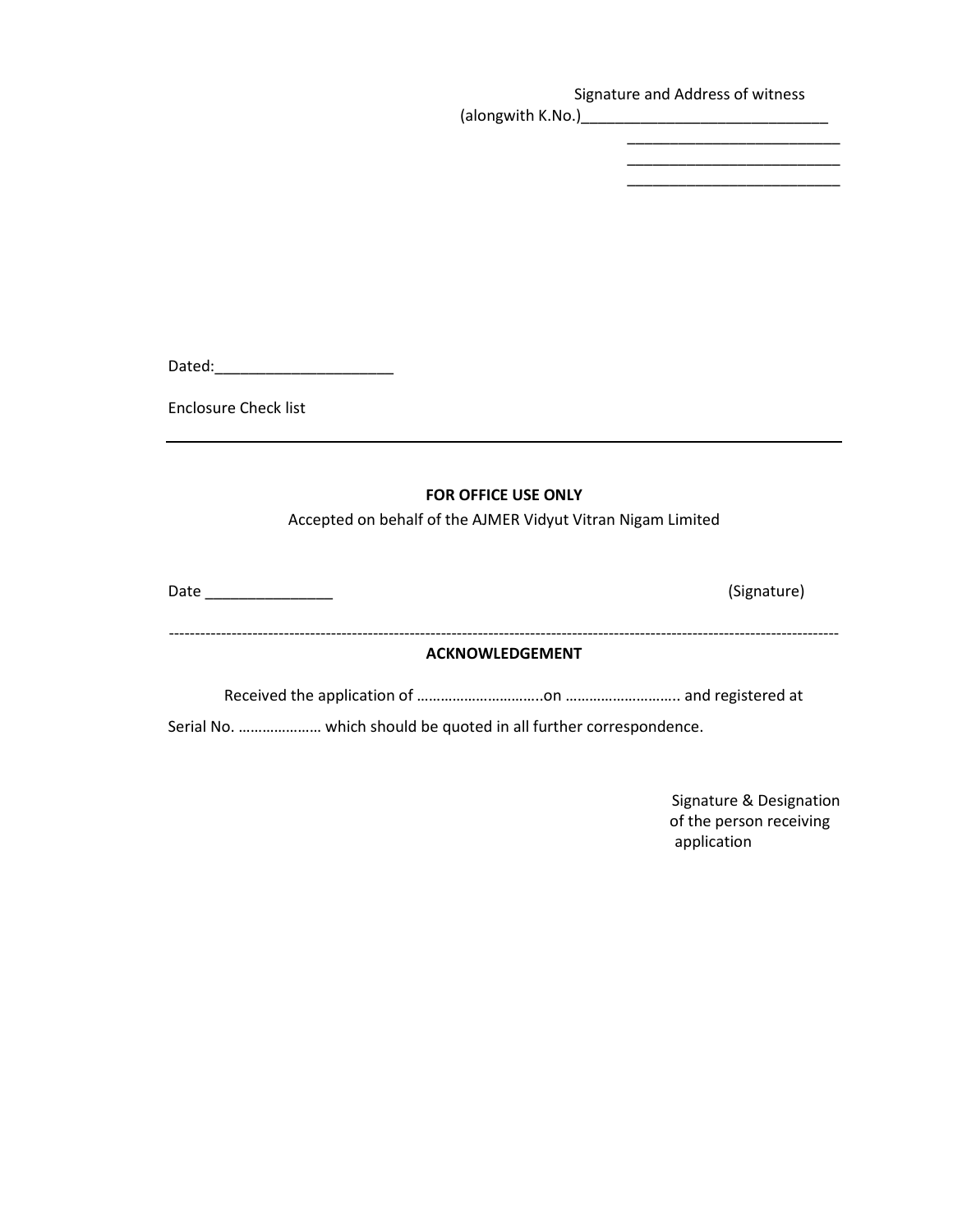Signature and Address of witness (alongwith K.No.)\_\_\_\_\_\_\_\_\_\_\_\_\_\_\_\_\_\_\_\_\_\_\_\_\_\_\_\_\_

> \_\_\_\_\_\_\_\_\_\_\_\_\_\_\_\_\_\_\_\_\_\_\_\_\_ \_\_\_\_\_\_\_\_\_\_\_\_\_\_\_\_\_\_\_\_\_\_\_\_\_

Dated:\_\_\_\_\_\_\_\_\_\_\_\_\_\_\_\_\_\_\_\_\_

Enclosure Check list

#### **FOR OFFICE USE ONLY**

Accepted on behalf of the AJMER Vidyut Vitran Nigam Limited

| Date<br><u> 1989 - Andrea Andrew Maria (b. 1989)</u> | (Signature) |  |  |  |
|------------------------------------------------------|-------------|--|--|--|
|                                                      |             |  |  |  |
| <b>ACKNOWLEDGEMENT</b>                               |             |  |  |  |
|                                                      |             |  |  |  |
|                                                      |             |  |  |  |

Signature & Designation of the person receiving application